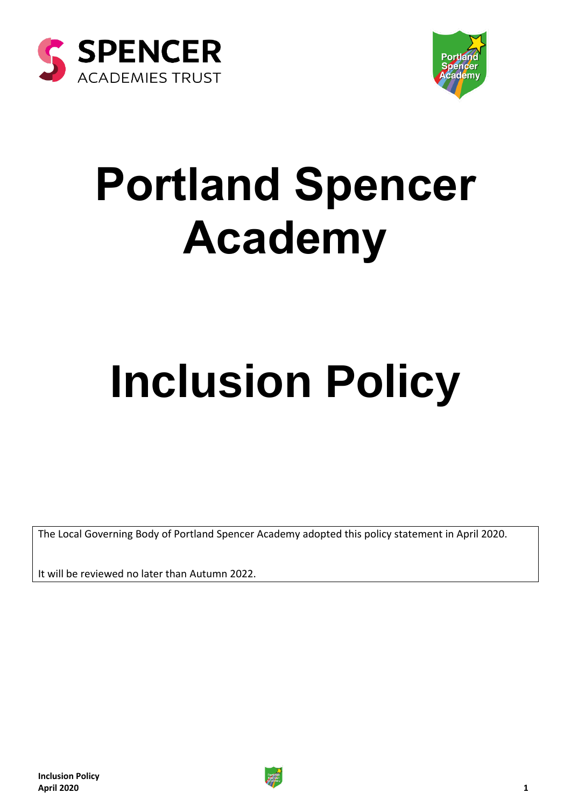



## **Portland Spencer Academy**

# **Inclusion Policy**

The Local Governing Body of Portland Spencer Academy adopted this policy statement in April 2020.

It will be reviewed no later than Autumn 2022.

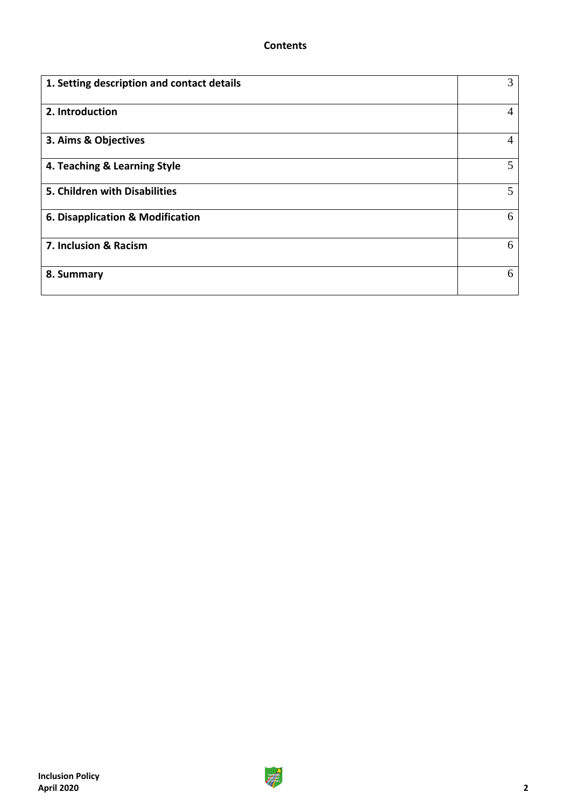| 1. Setting description and contact details | 3 |
|--------------------------------------------|---|
| 2. Introduction                            | 4 |
| 3. Aims & Objectives                       | 4 |
| 4. Teaching & Learning Style               | 5 |
| 5. Children with Disabilities              | 5 |
| 6. Disapplication & Modification           | 6 |
| 7. Inclusion & Racism                      | 6 |
| 8. Summary                                 | 6 |

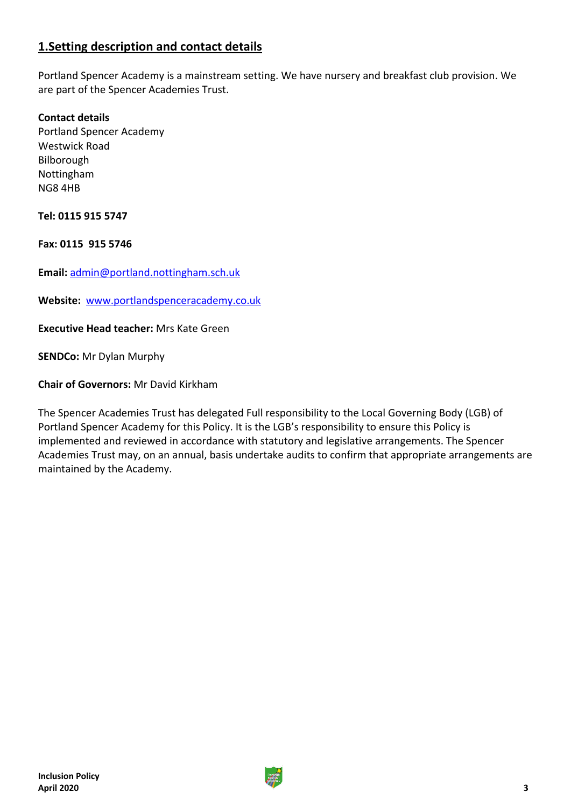## **1.Setting description and contact details**

Portland Spencer Academy is a mainstream setting. We have nursery and breakfast club provision. We are part of the Spencer Academies Trust.

#### **Contact details**

Portland Spencer Academy Westwick Road Bilborough Nottingham NG8 4HB

**Tel: 0115 915 5747**

**Fax: 0115 915 5746**

**Email:** [admin@portland.nottingham.sch.uk](mailto:admin@portland.nottingham.sch.uk)

**Website:** [www.portlandspenceracademy.co.uk](http://www.portlandspenceracademy.co.uk/)

**Executive Head teacher:** Mrs Kate Green

**SENDCo:** Mr Dylan Murphy

**Chair of Governors:** Mr David Kirkham

The Spencer Academies Trust has delegated Full responsibility to the Local Governing Body (LGB) of Portland Spencer Academy for this Policy. It is the LGB's responsibility to ensure this Policy is implemented and reviewed in accordance with statutory and legislative arrangements. The Spencer Academies Trust may, on an annual, basis undertake audits to confirm that appropriate arrangements are maintained by the Academy.

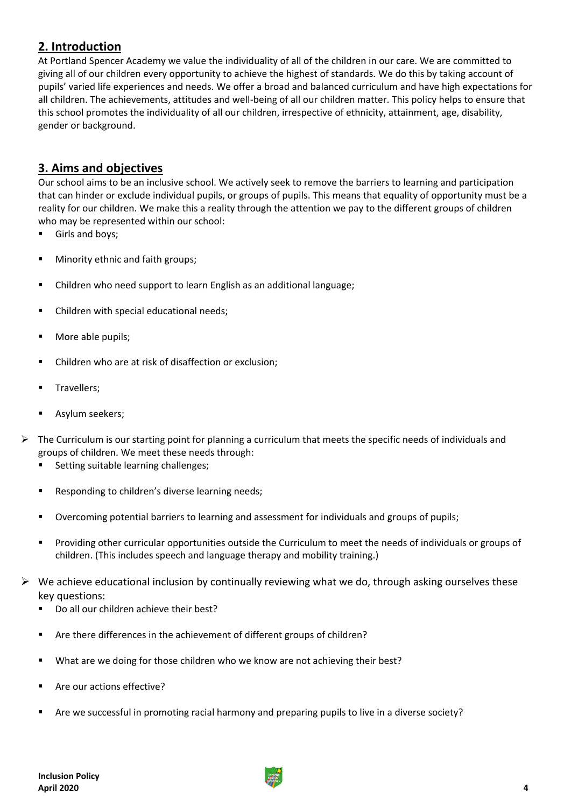## **2. Introduction**

At Portland Spencer Academy we value the individuality of all of the children in our care. We are committed to giving all of our children every opportunity to achieve the highest of standards. We do this by taking account of pupils' varied life experiences and needs. We offer a broad and balanced curriculum and have high expectations for all children. The achievements, attitudes and well-being of all our children matter. This policy helps to ensure that this school promotes the individuality of all our children, irrespective of ethnicity, attainment, age, disability, gender or background.

## **3. Aims and objectives**

Our school aims to be an inclusive school. We actively seek to remove the barriers to learning and participation that can hinder or exclude individual pupils, or groups of pupils. This means that equality of opportunity must be a reality for our children. We make this a reality through the attention we pay to the different groups of children who may be represented within our school:

- Girls and boys;
- **Minority ethnic and faith groups;**
- Children who need support to learn English as an additional language;
- Children with special educational needs;
- More able pupils;
- Children who are at risk of disaffection or exclusion;
- **Travellers**;
- Asylum seekers;
- $\triangleright$  The Curriculum is our starting point for planning a curriculum that meets the specific needs of individuals and groups of children. We meet these needs through:
	- **Setting suitable learning challenges;**
	- **Responding to children's diverse learning needs;**
	- Overcoming potential barriers to learning and assessment for individuals and groups of pupils;
	- Providing other curricular opportunities outside the Curriculum to meet the needs of individuals or groups of children. (This includes speech and language therapy and mobility training.)
- $\triangleright$  We achieve educational inclusion by continually reviewing what we do, through asking ourselves these key questions:
	- Do all our children achieve their best?
	- Are there differences in the achievement of different groups of children?
	- What are we doing for those children who we know are not achieving their best?
	- Are our actions effective?
	- Are we successful in promoting racial harmony and preparing pupils to live in a diverse society?

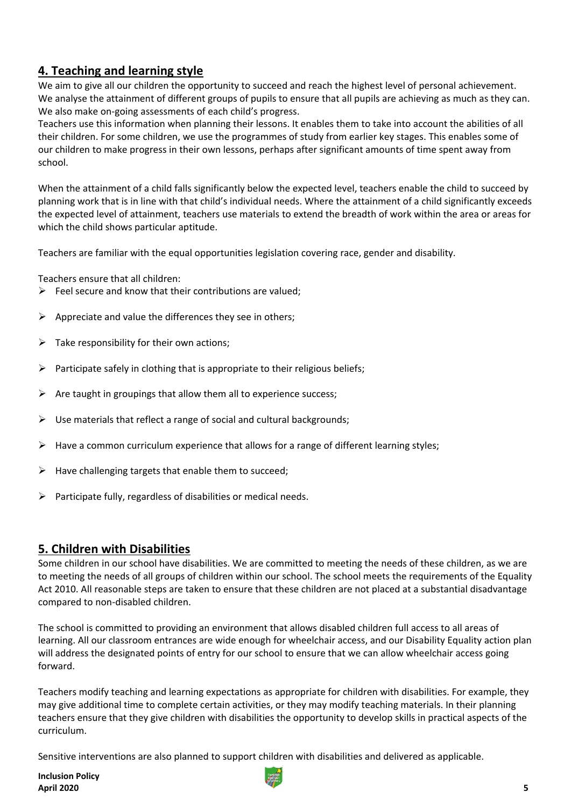## **4. Teaching and learning style**

We aim to give all our children the opportunity to succeed and reach the highest level of personal achievement. We analyse the attainment of different groups of pupils to ensure that all pupils are achieving as much as they can. We also make on-going assessments of each child's progress.

Teachers use this information when planning their lessons. It enables them to take into account the abilities of all their children. For some children, we use the programmes of study from earlier key stages. This enables some of our children to make progress in their own lessons, perhaps after significant amounts of time spent away from school.

When the attainment of a child falls significantly below the expected level, teachers enable the child to succeed by planning work that is in line with that child's individual needs. Where the attainment of a child significantly exceeds the expected level of attainment, teachers use materials to extend the breadth of work within the area or areas for which the child shows particular aptitude.

Teachers are familiar with the equal opportunities legislation covering race, gender and disability.

Teachers ensure that all children:

- $\triangleright$  Feel secure and know that their contributions are valued;
- $\triangleright$  Appreciate and value the differences they see in others;
- $\triangleright$  Take responsibility for their own actions;
- $\triangleright$  Participate safely in clothing that is appropriate to their religious beliefs;
- $\triangleright$  Are taught in groupings that allow them all to experience success;
- $\triangleright$  Use materials that reflect a range of social and cultural backgrounds;
- $\triangleright$  Have a common curriculum experience that allows for a range of different learning styles;
- $\triangleright$  Have challenging targets that enable them to succeed;
- $\triangleright$  Participate fully, regardless of disabilities or medical needs.

### **5. Children with Disabilities**

Some children in our school have disabilities. We are committed to meeting the needs of these children, as we are to meeting the needs of all groups of children within our school. The school meets the requirements of the Equality Act 2010. All reasonable steps are taken to ensure that these children are not placed at a substantial disadvantage compared to non-disabled children.

The school is committed to providing an environment that allows disabled children full access to all areas of learning. All our classroom entrances are wide enough for wheelchair access, and our Disability Equality action plan will address the designated points of entry for our school to ensure that we can allow wheelchair access going forward.

Teachers modify teaching and learning expectations as appropriate for children with disabilities. For example, they may give additional time to complete certain activities, or they may modify teaching materials. In their planning teachers ensure that they give children with disabilities the opportunity to develop skills in practical aspects of the curriculum.

Sensitive interventions are also planned to support children with disabilities and delivered as applicable.

**Inclusion Policy April 2020 5**